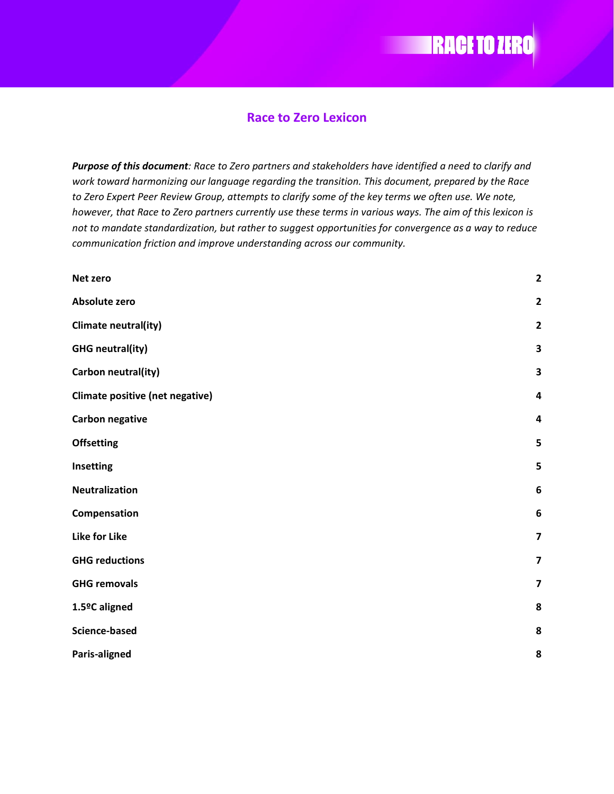#### **Race to Zero Lexicon**

**EXAMPLE 25 YO ZERO** 

*Purpose of this document: Race to Zero partners and stakeholders have identified a need to clarify and work toward harmonizing our language regarding the transition. This document, prepared by the Race to Zero Expert Peer Review Group, attempts to clarify some of the key terms we often use. We note, however, that Race to Zero partners currently use these terms in various ways. The aim of this lexicon is not to mandate standardization, but rather to suggest opportunities for convergence as a way to reduce communication friction and improve understanding across our community.* 

| Net zero                        | $\mathbf{2}$            |
|---------------------------------|-------------------------|
| <b>Absolute zero</b>            | $\mathbf{2}$            |
| Climate neutral(ity)            | $\mathbf{2}$            |
| <b>GHG neutral(ity)</b>         | 3                       |
| Carbon neutral(ity)             | 3                       |
| Climate positive (net negative) | 4                       |
| <b>Carbon negative</b>          | $\overline{\mathbf{4}}$ |
| <b>Offsetting</b>               | 5                       |
| Insetting                       | 5                       |
| <b>Neutralization</b>           | $\boldsymbol{6}$        |
| Compensation                    | $\boldsymbol{6}$        |
| <b>Like for Like</b>            | $\overline{\mathbf{z}}$ |
| <b>GHG reductions</b>           | $\overline{\mathbf{z}}$ |
| <b>GHG removals</b>             | $\overline{\mathbf{z}}$ |
| 1.5ºC aligned                   | 8                       |
| <b>Science-based</b>            | 8                       |
| Paris-aligned                   | 8                       |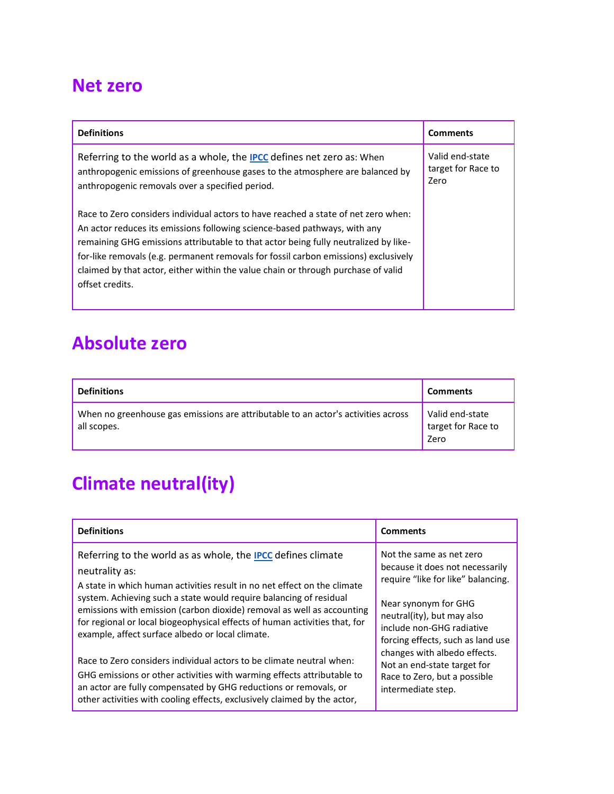#### **Net zero**

| <b>Definitions</b>                                                                                                                                                                                                                                                                                                                                                                                                                                    | <b>Comments</b>                               |
|-------------------------------------------------------------------------------------------------------------------------------------------------------------------------------------------------------------------------------------------------------------------------------------------------------------------------------------------------------------------------------------------------------------------------------------------------------|-----------------------------------------------|
| Referring to the world as a whole, the <b>IPCC</b> defines net zero as: When<br>anthropogenic emissions of greenhouse gases to the atmosphere are balanced by<br>anthropogenic removals over a specified period.                                                                                                                                                                                                                                      | Valid end-state<br>target for Race to<br>Zero |
| Race to Zero considers individual actors to have reached a state of net zero when:<br>An actor reduces its emissions following science-based pathways, with any<br>remaining GHG emissions attributable to that actor being fully neutralized by like-<br>for-like removals (e.g. permanent removals for fossil carbon emissions) exclusively<br>claimed by that actor, either within the value chain or through purchase of valid<br>offset credits. |                                               |

#### **Absolute zero**

| <b>Definitions</b>                                                                               | <b>Comments</b>                               |
|--------------------------------------------------------------------------------------------------|-----------------------------------------------|
| When no greenhouse gas emissions are attributable to an actor's activities across<br>all scopes. | Valid end-state<br>target for Race to<br>Zero |

# **Climate neutral(ity)**

| <b>Definitions</b>                                                                                                                                                                                                                                                                                                                                                                                                                                                                                                          | <b>Comments</b>                                                                                                                                                                                                                                                                          |
|-----------------------------------------------------------------------------------------------------------------------------------------------------------------------------------------------------------------------------------------------------------------------------------------------------------------------------------------------------------------------------------------------------------------------------------------------------------------------------------------------------------------------------|------------------------------------------------------------------------------------------------------------------------------------------------------------------------------------------------------------------------------------------------------------------------------------------|
| Referring to the world as as whole, the <b>IPCC</b> defines climate<br>neutrality as:<br>A state in which human activities result in no net effect on the climate<br>system. Achieving such a state would require balancing of residual<br>emissions with emission (carbon dioxide) removal as well as accounting<br>for regional or local biogeophysical effects of human activities that, for<br>example, affect surface albedo or local climate.<br>Race to Zero considers individual actors to be climate neutral when: | Not the same as net zero<br>because it does not necessarily<br>require "like for like" balancing.<br>Near synonym for GHG<br>neutral(ity), but may also<br>include non-GHG radiative<br>forcing effects, such as land use<br>changes with albedo effects.<br>Not an end-state target for |
| GHG emissions or other activities with warming effects attributable to<br>an actor are fully compensated by GHG reductions or removals, or<br>other activities with cooling effects, exclusively claimed by the actor,                                                                                                                                                                                                                                                                                                      | Race to Zero, but a possible<br>intermediate step.                                                                                                                                                                                                                                       |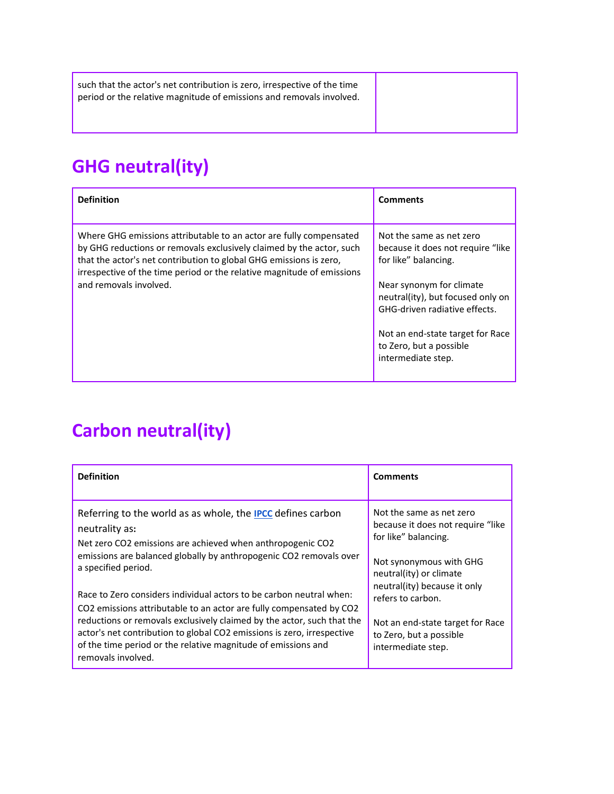such that the actor's net contribution is zero, irrespective of the time period or the relative magnitude of emissions and removals involved.

# **GHG neutral(ity)**

| <b>Definition</b>                                                                                                                                                                                                                                                                                                    | <b>Comments</b>                                                                                                                                                                                                              |
|----------------------------------------------------------------------------------------------------------------------------------------------------------------------------------------------------------------------------------------------------------------------------------------------------------------------|------------------------------------------------------------------------------------------------------------------------------------------------------------------------------------------------------------------------------|
| Where GHG emissions attributable to an actor are fully compensated<br>by GHG reductions or removals exclusively claimed by the actor, such<br>that the actor's net contribution to global GHG emissions is zero,<br>irrespective of the time period or the relative magnitude of emissions<br>and removals involved. | Not the same as net zero<br>because it does not require "like"<br>for like" balancing.<br>Near synonym for climate<br>neutral(ity), but focused only on<br>GHG-driven radiative effects.<br>Not an end-state target for Race |
|                                                                                                                                                                                                                                                                                                                      | to Zero, but a possible<br>intermediate step.                                                                                                                                                                                |

# **Carbon neutral(ity)**

| <b>Definition</b>                                                                                                                                                                                                                                                                                                                                                                                                                                                                                                                                                                                                                        | <b>Comments</b>                                                                                                                                                                                                                                                                        |
|------------------------------------------------------------------------------------------------------------------------------------------------------------------------------------------------------------------------------------------------------------------------------------------------------------------------------------------------------------------------------------------------------------------------------------------------------------------------------------------------------------------------------------------------------------------------------------------------------------------------------------------|----------------------------------------------------------------------------------------------------------------------------------------------------------------------------------------------------------------------------------------------------------------------------------------|
| Referring to the world as as whole, the <b>IPCC</b> defines carbon<br>neutrality as:<br>Net zero CO2 emissions are achieved when anthropogenic CO2<br>emissions are balanced globally by anthropogenic CO2 removals over<br>a specified period.<br>Race to Zero considers individual actors to be carbon neutral when:<br>CO2 emissions attributable to an actor are fully compensated by CO2<br>reductions or removals exclusively claimed by the actor, such that the<br>actor's net contribution to global CO2 emissions is zero, irrespective<br>of the time period or the relative magnitude of emissions and<br>removals involved. | Not the same as net zero<br>because it does not require "like"<br>for like" balancing.<br>Not synonymous with GHG<br>neutral(ity) or climate<br>neutral(ity) because it only<br>refers to carbon.<br>Not an end-state target for Race<br>to Zero, but a possible<br>intermediate step. |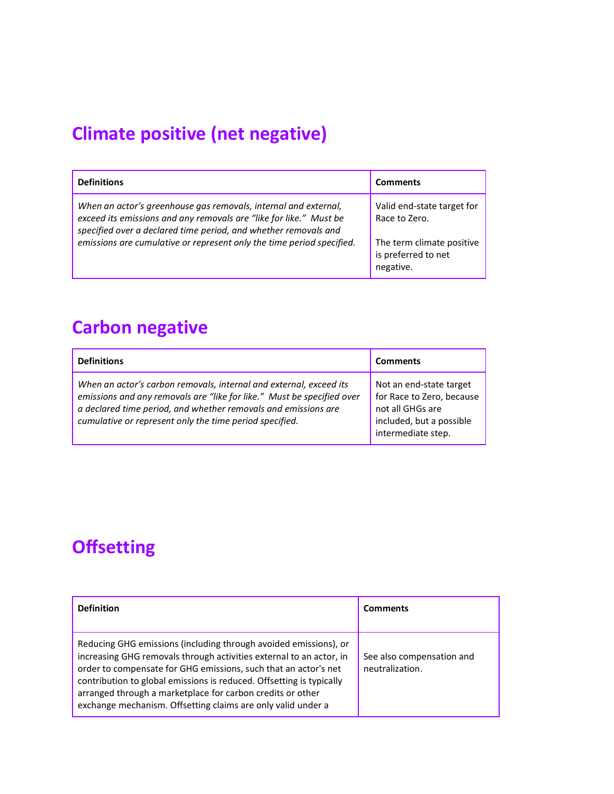# **Climate positive (net negative)**

| <b>Definitions</b>                                                                                                                                                                                                                                                                | <b>Comments</b>                                                                                              |
|-----------------------------------------------------------------------------------------------------------------------------------------------------------------------------------------------------------------------------------------------------------------------------------|--------------------------------------------------------------------------------------------------------------|
| When an actor's greenhouse gas removals, internal and external,<br>exceed its emissions and any removals are "like for like." Must be<br>specified over a declared time period, and whether removals and<br>emissions are cumulative or represent only the time period specified. | Valid end-state target for<br>Race to Zero.<br>The term climate positive<br>is preferred to net<br>negative. |

# **Carbon negative**

| <b>Definitions</b>                                                                                                                                                                                                                                                        | <b>Comments</b>                                                                                                            |
|---------------------------------------------------------------------------------------------------------------------------------------------------------------------------------------------------------------------------------------------------------------------------|----------------------------------------------------------------------------------------------------------------------------|
| When an actor's carbon removals, internal and external, exceed its<br>emissions and any removals are "like for like." Must be specified over<br>a declared time period, and whether removals and emissions are<br>cumulative or represent only the time period specified. | Not an end-state target<br>for Race to Zero, because<br>not all GHGs are<br>included, but a possible<br>intermediate step. |

# **Offsetting**

| <b>Definition</b>                                                                                                                                                                                                                                                                                                                                                                                                | <b>Comments</b>                              |
|------------------------------------------------------------------------------------------------------------------------------------------------------------------------------------------------------------------------------------------------------------------------------------------------------------------------------------------------------------------------------------------------------------------|----------------------------------------------|
| Reducing GHG emissions (including through avoided emissions), or<br>increasing GHG removals through activities external to an actor, in<br>order to compensate for GHG emissions, such that an actor's net<br>contribution to global emissions is reduced. Offsetting is typically<br>arranged through a marketplace for carbon credits or other<br>exchange mechanism. Offsetting claims are only valid under a | See also compensation and<br>neutralization. |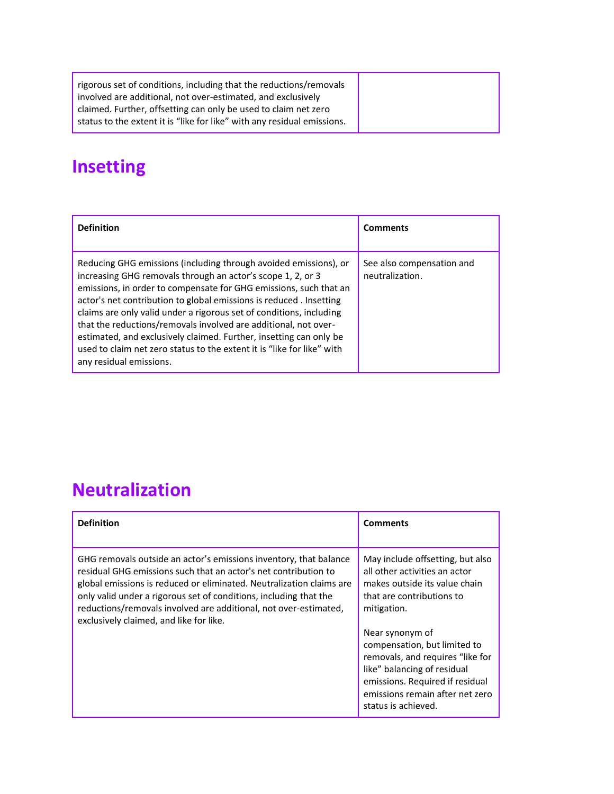| rigorous set of conditions, including that the reductions/removals<br>involved are additional, not over-estimated, and exclusively         |
|--------------------------------------------------------------------------------------------------------------------------------------------|
| claimed. Further, offsetting can only be used to claim net zero<br>status to the extent it is "like for like" with any residual emissions. |

# **Insetting**

| <b>Definition</b>                                                                                                                                                                                                                                                                                                                                                                                                                                                                                                                                                                               | <b>Comments</b>                              |
|-------------------------------------------------------------------------------------------------------------------------------------------------------------------------------------------------------------------------------------------------------------------------------------------------------------------------------------------------------------------------------------------------------------------------------------------------------------------------------------------------------------------------------------------------------------------------------------------------|----------------------------------------------|
| Reducing GHG emissions (including through avoided emissions), or<br>increasing GHG removals through an actor's scope 1, 2, or 3<br>emissions, in order to compensate for GHG emissions, such that an<br>actor's net contribution to global emissions is reduced. Insetting<br>claims are only valid under a rigorous set of conditions, including<br>that the reductions/removals involved are additional, not over-<br>estimated, and exclusively claimed. Further, insetting can only be<br>used to claim net zero status to the extent it is "like for like" with<br>any residual emissions. | See also compensation and<br>neutralization. |

### **Neutralization**

| <b>Definition</b>                                                                                                                                                                                                                                                                                                                                                                                | <b>Comments</b>                                                                                                                                                                                                                                                                                                                                                   |
|--------------------------------------------------------------------------------------------------------------------------------------------------------------------------------------------------------------------------------------------------------------------------------------------------------------------------------------------------------------------------------------------------|-------------------------------------------------------------------------------------------------------------------------------------------------------------------------------------------------------------------------------------------------------------------------------------------------------------------------------------------------------------------|
| GHG removals outside an actor's emissions inventory, that balance<br>residual GHG emissions such that an actor's net contribution to<br>global emissions is reduced or eliminated. Neutralization claims are<br>only valid under a rigorous set of conditions, including that the<br>reductions/removals involved are additional, not over-estimated,<br>exclusively claimed, and like for like. | May include offsetting, but also<br>all other activities an actor<br>makes outside its value chain<br>that are contributions to<br>mitigation.<br>Near synonym of<br>compensation, but limited to<br>removals, and requires "like for<br>like" balancing of residual<br>emissions. Required if residual<br>emissions remain after net zero<br>status is achieved. |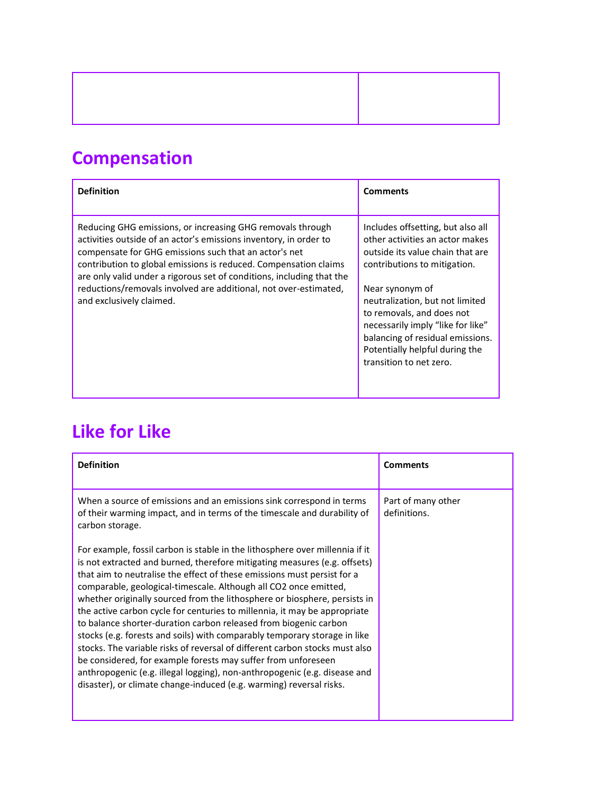# **Compensation**

| <b>Definition</b>                                                                                                                                                                                                                                                                                                                                                                                                                     | <b>Comments</b>                                                                                                                                                                                                                                                                                                                                                   |
|---------------------------------------------------------------------------------------------------------------------------------------------------------------------------------------------------------------------------------------------------------------------------------------------------------------------------------------------------------------------------------------------------------------------------------------|-------------------------------------------------------------------------------------------------------------------------------------------------------------------------------------------------------------------------------------------------------------------------------------------------------------------------------------------------------------------|
| Reducing GHG emissions, or increasing GHG removals through<br>activities outside of an actor's emissions inventory, in order to<br>compensate for GHG emissions such that an actor's net<br>contribution to global emissions is reduced. Compensation claims<br>are only valid under a rigorous set of conditions, including that the<br>reductions/removals involved are additional, not over-estimated,<br>and exclusively claimed. | Includes offsetting, but also all<br>other activities an actor makes<br>outside its value chain that are<br>contributions to mitigation.<br>Near synonym of<br>neutralization, but not limited<br>to removals, and does not<br>necessarily imply "like for like"<br>balancing of residual emissions.<br>Potentially helpful during the<br>transition to net zero. |

# **Like for Like**

| <b>Definition</b>                                                                                                                                                                                                                                                                                                                                                                                                                                                                                                                                                                                                                                                                                                                                                                                                                                                                                                       | <b>Comments</b>                    |
|-------------------------------------------------------------------------------------------------------------------------------------------------------------------------------------------------------------------------------------------------------------------------------------------------------------------------------------------------------------------------------------------------------------------------------------------------------------------------------------------------------------------------------------------------------------------------------------------------------------------------------------------------------------------------------------------------------------------------------------------------------------------------------------------------------------------------------------------------------------------------------------------------------------------------|------------------------------------|
| When a source of emissions and an emissions sink correspond in terms<br>of their warming impact, and in terms of the timescale and durability of<br>carbon storage.                                                                                                                                                                                                                                                                                                                                                                                                                                                                                                                                                                                                                                                                                                                                                     | Part of many other<br>definitions. |
| For example, fossil carbon is stable in the lithosphere over millennia if it<br>is not extracted and burned, therefore mitigating measures (e.g. offsets)<br>that aim to neutralise the effect of these emissions must persist for a<br>comparable, geological-timescale. Although all CO2 once emitted,<br>whether originally sourced from the lithosphere or biosphere, persists in<br>the active carbon cycle for centuries to millennia, it may be appropriate<br>to balance shorter-duration carbon released from biogenic carbon<br>stocks (e.g. forests and soils) with comparably temporary storage in like<br>stocks. The variable risks of reversal of different carbon stocks must also<br>be considered, for example forests may suffer from unforeseen<br>anthropogenic (e.g. illegal logging), non-anthropogenic (e.g. disease and<br>disaster), or climate change-induced (e.g. warming) reversal risks. |                                    |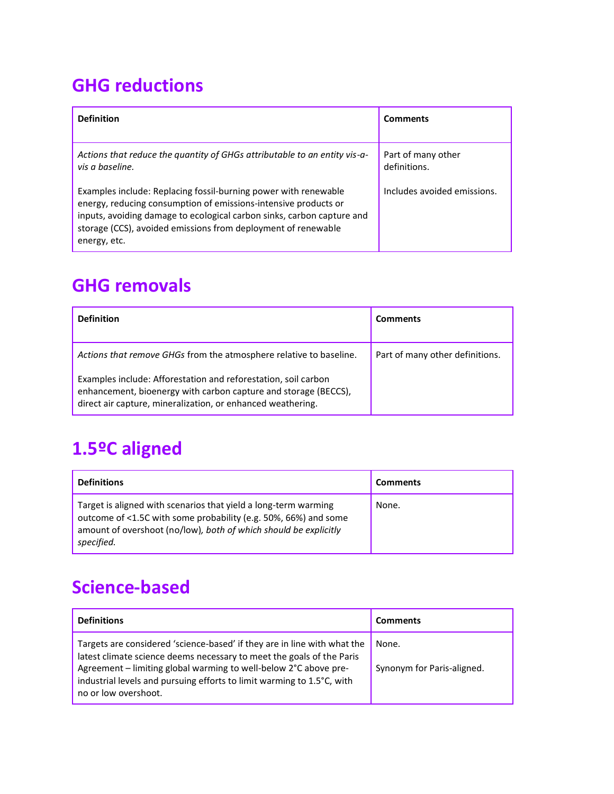### **GHG reductions**

| <b>Definition</b>                                                                                                                                                                                                                                                                             | <b>Comments</b>                    |
|-----------------------------------------------------------------------------------------------------------------------------------------------------------------------------------------------------------------------------------------------------------------------------------------------|------------------------------------|
| Actions that reduce the quantity of GHGs attributable to an entity vis-a-<br>vis a baseline.                                                                                                                                                                                                  | Part of many other<br>definitions. |
| Examples include: Replacing fossil-burning power with renewable<br>energy, reducing consumption of emissions-intensive products or<br>inputs, avoiding damage to ecological carbon sinks, carbon capture and<br>storage (CCS), avoided emissions from deployment of renewable<br>energy, etc. | Includes avoided emissions.        |

#### **GHG removals**

| <b>Definition</b>                                                                                                                                                                                | <b>Comments</b>                 |
|--------------------------------------------------------------------------------------------------------------------------------------------------------------------------------------------------|---------------------------------|
| Actions that remove GHGs from the atmosphere relative to baseline.                                                                                                                               | Part of many other definitions. |
| Examples include: Afforestation and reforestation, soil carbon<br>enhancement, bioenergy with carbon capture and storage (BECCS),<br>direct air capture, mineralization, or enhanced weathering. |                                 |

# **1.5ºC aligned**

| <b>Definitions</b>                                                                                                                                                                                                   | <b>Comments</b> |
|----------------------------------------------------------------------------------------------------------------------------------------------------------------------------------------------------------------------|-----------------|
| Target is aligned with scenarios that yield a long-term warming<br>outcome of <1.5C with some probability (e.g. 50%, 66%) and some<br>amount of overshoot (no/low), both of which should be explicitly<br>specified. | None.           |

### **Science-based**

| <b>Definitions</b>                                                                                                                                                                                                                                                                                                      | <b>Comments</b>                     |
|-------------------------------------------------------------------------------------------------------------------------------------------------------------------------------------------------------------------------------------------------------------------------------------------------------------------------|-------------------------------------|
| Targets are considered 'science-based' if they are in line with what the<br>latest climate science deems necessary to meet the goals of the Paris<br>Agreement - limiting global warming to well-below 2°C above pre-<br>industrial levels and pursuing efforts to limit warming to 1.5°C, with<br>no or low overshoot. | None.<br>Synonym for Paris-aligned. |